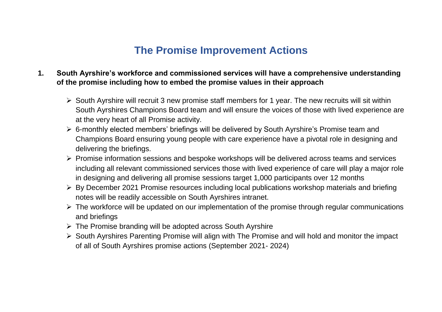## **The Promise Improvement Actions**

## **1. South Ayrshire's workforce and commissioned services will have a comprehensive understanding of the promise including how to embed the promise values in their approach**

- $\triangleright$  South Ayrshire will recruit 3 new promise staff members for 1 year. The new recruits will sit within South Ayrshires Champions Board team and will ensure the voices of those with lived experience are at the very heart of all Promise activity.
- 6-monthly elected members' briefings will be delivered by South Ayrshire's Promise team and Champions Board ensuring young people with care experience have a pivotal role in designing and delivering the briefings.
- $\triangleright$  Promise information sessions and bespoke workshops will be delivered across teams and services including all relevant commissioned services those with lived experience of care will play a major role in designing and delivering all promise sessions target 1,000 participants over 12 months
- $\triangleright$  By December 2021 Promise resources including local publications workshop materials and briefing notes will be readily accessible on South Ayrshires intranet.
- $\triangleright$  The workforce will be updated on our implementation of the promise through regular communications and briefings
- $\triangleright$  The Promise branding will be adopted across South Ayrshire
- $\triangleright$  South Ayrshires Parenting Promise will align with The Promise and will hold and monitor the impact of all of South Ayrshires promise actions (September 2021- 2024)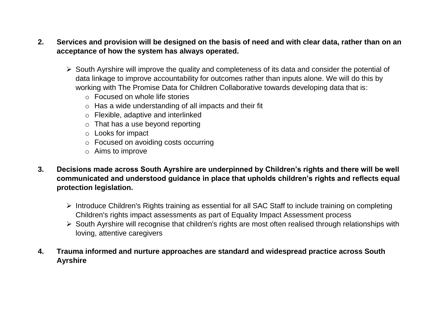## **2. Services and provision will be designed on the basis of need and with clear data, rather than on an acceptance of how the system has always operated.**

- $\triangleright$  South Ayrshire will improve the quality and completeness of its data and consider the potential of data linkage to improve accountability for outcomes rather than inputs alone. We will do this by working with The Promise Data for Children Collaborative towards developing data that is:
	- o Focused on whole life stories
	- o Has a wide understanding of all impacts and their fit
	- o Flexible, adaptive and interlinked
	- $\circ$  That has a use beyond reporting
	- o Looks for impact
	- o Focused on avoiding costs occurring
	- o Aims to improve
- **3. Decisions made across South Ayrshire are underpinned by Children's rights and there will be well communicated and understood guidance in place that upholds children's rights and reflects equal protection legislation.**
	- Introduce Children's Rights training as essential for all SAC Staff to include training on completing Children's rights impact assessments as part of Equality Impact Assessment process
	- $\triangleright$  South Ayrshire will recognise that children's rights are most often realised through relationships with loving, attentive caregivers
- **4. Trauma informed and nurture approaches are standard and widespread practice across South Ayrshire**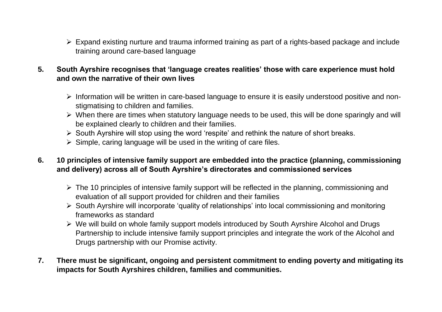- $\triangleright$  Expand existing nurture and trauma informed training as part of a rights-based package and include training around care-based language
- **5. South Ayrshire recognises that 'language creates realities' those with care experience must hold and own the narrative of their own lives** 
	- $\triangleright$  Information will be written in care-based language to ensure it is easily understood positive and nonstigmatising to children and families.
	- $\triangleright$  When there are times when statutory language needs to be used, this will be done sparingly and will be explained clearly to children and their families.
	- $\triangleright$  South Ayrshire will stop using the word 'respite' and rethink the nature of short breaks.
	- $\triangleright$  Simple, caring language will be used in the writing of care files.
- **6. 10 principles of intensive family support are embedded into the practice (planning, commissioning and delivery) across all of South Ayrshire's directorates and commissioned services**
	- $\triangleright$  The 10 principles of intensive family support will be reflected in the planning, commissioning and evaluation of all support provided for children and their families
	- South Ayrshire will incorporate 'quality of relationships' into local commissioning and monitoring frameworks as standard
	- $\triangleright$  We will build on whole family support models introduced by South Ayrshire Alcohol and Drugs Partnership to include intensive family support principles and integrate the work of the Alcohol and Drugs partnership with our Promise activity.
- **7. There must be significant, ongoing and persistent commitment to ending poverty and mitigating its impacts for South Ayrshires children, families and communities.**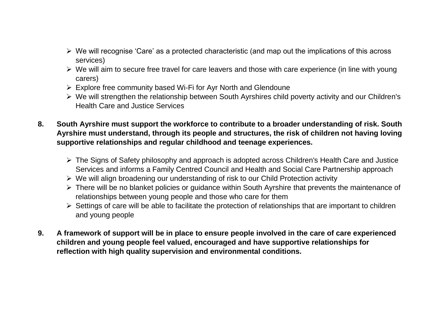- $\triangleright$  We will recognise 'Care' as a protected characteristic (and map out the implications of this across services)
- $\triangleright$  We will aim to secure free travel for care leavers and those with care experience (in line with young carers)
- $\triangleright$  Explore free community based Wi-Fi for Ayr North and Glendoune
- We will strengthen the relationship between South Ayrshires child poverty activity and our Children's Health Care and Justice Services
- **8. South Ayrshire must support the workforce to contribute to a broader understanding of risk. South Ayrshire must understand, through its people and structures, the risk of children not having loving supportive relationships and regular childhood and teenage experiences.**
	- $\triangleright$  The Signs of Safety philosophy and approach is adopted across Children's Health Care and Justice Services and informs a Family Centred Council and Health and Social Care Partnership approach
	- We will align broadening our understanding of risk to our Child Protection activity
	- $\triangleright$  There will be no blanket policies or guidance within South Ayrshire that prevents the maintenance of relationships between young people and those who care for them
	- $\triangleright$  Settings of care will be able to facilitate the protection of relationships that are important to children and young people
- **9. A framework of support will be in place to ensure people involved in the care of care experienced children and young people feel valued, encouraged and have supportive relationships for reflection with high quality supervision and environmental conditions.**